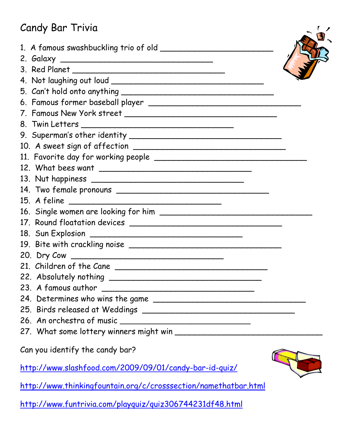## Candy Bar Trivia

| Candy Bar Trivia                                                                                     |  |
|------------------------------------------------------------------------------------------------------|--|
|                                                                                                      |  |
|                                                                                                      |  |
|                                                                                                      |  |
|                                                                                                      |  |
|                                                                                                      |  |
|                                                                                                      |  |
|                                                                                                      |  |
|                                                                                                      |  |
|                                                                                                      |  |
|                                                                                                      |  |
|                                                                                                      |  |
|                                                                                                      |  |
|                                                                                                      |  |
|                                                                                                      |  |
| 15. A feline                                                                                         |  |
|                                                                                                      |  |
|                                                                                                      |  |
|                                                                                                      |  |
|                                                                                                      |  |
|                                                                                                      |  |
|                                                                                                      |  |
|                                                                                                      |  |
|                                                                                                      |  |
|                                                                                                      |  |
|                                                                                                      |  |
|                                                                                                      |  |
|                                                                                                      |  |
| Can you identify the candy bar?                                                                      |  |
| http://www.slashfood.com/2009/09/01/candy-bar-id-quiz/                                               |  |
| better (Improved the inferior of opportunity and I of opportunity of the model of best begin better) |  |

<http://www.thinkingfountain.org/c/crosssection/namethatbar.html>

<http://www.funtrivia.com/playquiz/quiz306744231df48.html>